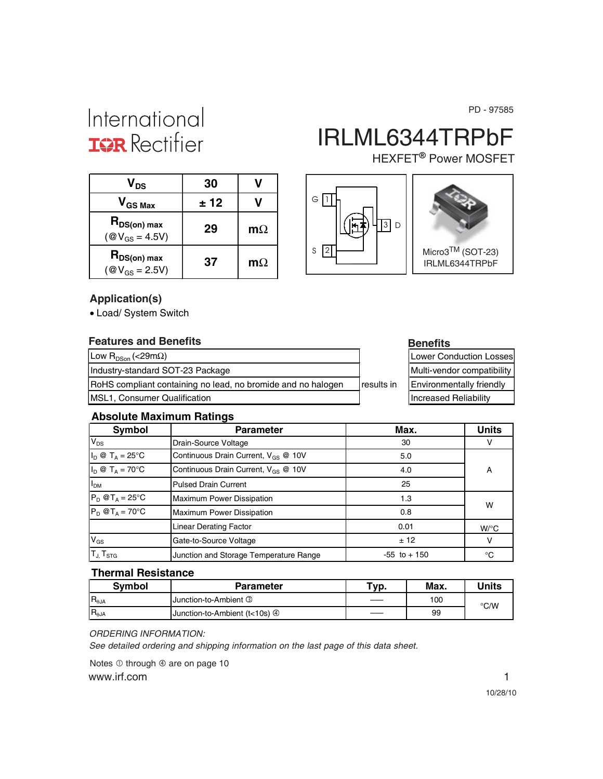PD - 97585

## International **IGR** Rectifier

# IRLML6344TRPbF

HEXFET<sup>®</sup> Power MOSFET

| V <sub>DS</sub>                               | 30   |           |
|-----------------------------------------------|------|-----------|
| $V_{GS\,Max}$                                 | ± 12 |           |
| $R_{DS(on) max}$<br>$(\text{@V}_{GS} = 4.5V)$ | 29   | $m\Omega$ |
| $R_{DS(on) max}$<br>$(\text{@V}_{GS} = 2.5V)$ | 37   | $m\Omega$ |





#### **Application(s)**

• Load/ System Switch

#### **Features and Benefits Benefits Benefits**

| Low R <sub>DSon</sub> (<29m $\Omega$ )                              |             | Lower Conduction Losses         |
|---------------------------------------------------------------------|-------------|---------------------------------|
| Industry-standard SOT-23 Package                                    |             | Multi-vendor compatibility      |
| <b>RoHS</b> compliant containing no lead, no bromide and no halogen | Iresults in | <b>Environmentally friendly</b> |
| <b>IMSL1, Consumer Qualification</b>                                |             | <b>Increased Reliability</b>    |

| Lower Conduction Losses      |  |
|------------------------------|--|
| Multi-vendor compatibility   |  |
| Environmentally friendly     |  |
| <b>Increased Reliability</b> |  |

#### **Absolute Maximum Ratings**

| <b>Symbol</b>                                                    | <b>Parameter</b>                                | Max.            | <b>Units</b>       |
|------------------------------------------------------------------|-------------------------------------------------|-----------------|--------------------|
| $V_{DS}$                                                         | Drain-Source Voltage                            | 30              |                    |
| $I_D \otimes T_A = 25^{\circ}C$                                  | Continuous Drain Current, V <sub>GS</sub> @ 10V | 5.0             |                    |
| $I_D \otimes T_A = 70^{\circ}C$                                  | Continuous Drain Current, V <sub>GS</sub> @ 10V | 4.0             | A                  |
| I <sub>DM</sub>                                                  | <b>Pulsed Drain Current</b>                     | 25              |                    |
| $P_D @T_A = 25^\circ C$                                          | <b>Maximum Power Dissipation</b>                | 1.3             | W                  |
| $P_D$ @T <sub>A</sub> = 70°C<br><b>Maximum Power Dissipation</b> |                                                 | 0.8             |                    |
| <b>Linear Derating Factor</b>                                    |                                                 | 0.01            | $W$ <sup>o</sup> C |
| $V_{GS}$                                                         | Gate-to-Source Voltage                          | ± 12            | ν                  |
| $T_{J}$ , $T_{STG}$                                              | Junction and Storage Temperature Range          | $-55$ to $+150$ | °C                 |

#### **Thermal Resistance**

| <b>Symbol</b>  | Parameter                     | $Tv$ p. | Max. | Units |
|----------------|-------------------------------|---------|------|-------|
| $R_{\theta$ JA | Junction-to-Ambient 3         |         | 100  | °C/W  |
| $R_{\theta$ JA | Junction-to-Ambient (t<10s) 4 |         | 99   |       |

#### *ORDERING INFORMATION:*

*See detailed ordering and shipping information on the last page of this data sheet.*

www.irf.com 1 Notes  $\overline{0}$  through  $\overline{0}$  are on page 10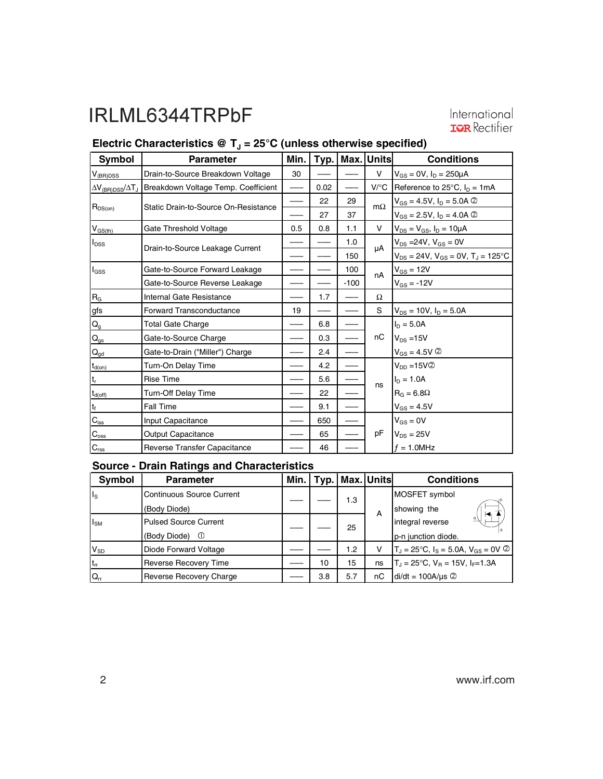# International<br>TRR Rectifier

### **Electric Characteristics @ T<sub>J</sub> = 25°C (unless otherwise specified)**

| <b>Symbol</b>              | <b>Parameter</b>                                                           | Min. |      |        | Typ.   Max.   Units | <b>Conditions</b>                               |
|----------------------------|----------------------------------------------------------------------------|------|------|--------|---------------------|-------------------------------------------------|
| $V_{\rm (BR)DSS}$          | Drain-to-Source Breakdown Voltage                                          | 30   |      |        | v                   | $V_{GS} = 0V$ , $I_D = 250 \mu A$               |
|                            | AV <sub>(BR)DSS</sub> /AT <sub>J</sub> Breakdown Voltage Temp. Coefficient |      | 0.02 |        | $V$ /°C             | Reference to $25^{\circ}$ C, $I_D = 1mA$        |
|                            | Static Drain-to-Source On-Resistance                                       |      | 22   | 29     | $m\Omega$           | $V_{GS} = 4.5V, I_D = 5.0A$ ©                   |
| $R_{DS(on)}$               |                                                                            |      | 27   | 37     |                     | $V_{GS} = 2.5V$ , $I_D = 4.0A$ 2                |
| $V_{GS(th)}$               | Gate Threshold Voltage                                                     | 0.5  | 0.8  | 1.1    | V                   | $V_{DS} = V_{GS}$ , $I_D = 10 \mu A$            |
| I <sub>DSS</sub>           | Drain-to-Source Leakage Current                                            |      |      | 1.0    | μA                  | $V_{DS} = 24V, V_{GS} = 0V$                     |
|                            |                                                                            |      |      | 150    |                     | $V_{DS} = 24V$ , $V_{GS} = 0V$ , $T_J = 125$ °C |
| $I_{GSS}$                  | Gate-to-Source Forward Leakage                                             |      |      | 100    | nA                  | $V_{GS} = 12V$                                  |
|                            | Gate-to-Source Reverse Leakage                                             |      |      | $-100$ |                     | $V_{GS} = -12V$                                 |
| $R_{\underline{G}}$        | Internal Gate Resistance                                                   |      | 1.7  |        | Ω                   |                                                 |
| gfs                        | <b>Forward Transconductance</b>                                            | 19   |      |        | S                   | $V_{DS}$ = 10V, $I_D$ = 5.0A                    |
| $Q_{g}$                    | <b>Total Gate Charge</b>                                                   |      | 6.8  |        |                     | $I_{D} = 5.0A$                                  |
| $Q_{gs}$                   | Gate-to-Source Charge                                                      |      | 0.3  |        | nC                  | $V_{DS}$ = 15V                                  |
| $\mathsf{Q}_{\mathsf{gd}}$ | Gate-to-Drain ("Miller") Charge                                            |      | 2.4  |        |                     | $V_{GS} = 4.5V$ 2                               |
| $t_{d(on)}$                | Turn-On Delay Time                                                         |      | 4.2  |        |                     | $V_{DD} = 15V$ 2                                |
| lt,                        | <b>Rise Time</b>                                                           |      | 5.6  |        |                     | $I_D = 1.0A$                                    |
| $t_{d(off)}$               | <b>Turn-Off Delay Time</b>                                                 |      | 22   |        | ns                  | $R_G = 6.8\Omega$                               |
| ۱t <sub>f</sub>            | Fall Time                                                                  |      | 9.1  |        |                     | $V_{GS} = 4.5V$                                 |
| $C_{\text{iss}}$           | Input Capacitance                                                          |      | 650  |        |                     | $V_{GS} = 0V$                                   |
| $C_{\rm oss}$              | <b>Output Capacitance</b>                                                  |      | 65   |        | рF                  | $V_{DS} = 25V$                                  |
| $C_{\text{rss}}$           | <b>Reverse Transfer Capacitance</b>                                        |      | 46   |        |                     | $f = 1.0$ MHz                                   |

#### **Source - Drain Ratings and Characteristics**

| Symbol            | <b>Parameter</b>             |     | Min.   Typ.   Max. Units |    | <b>Conditions</b>                                    |
|-------------------|------------------------------|-----|--------------------------|----|------------------------------------------------------|
| $\ $ <sub>s</sub> | Continuous Source Current    |     | 1.3                      |    | MOSFET symbol                                        |
|                   | (Body Diode)                 |     |                          | A  | showing the                                          |
| $I_{SM}$          | <b>Pulsed Source Current</b> |     | 25                       |    | integral reverse                                     |
|                   | (Body Diode)<br>$\circ$      |     |                          |    | p-n junction diode.                                  |
| $V_{SD}$          | Diode Forward Voltage        |     | 1.2                      |    | $T_d = 25^{\circ}C$ , $I_S = 5.0A$ , $V_{GS} = 0V$ ② |
| $t_{rr}$          | Reverse Recovery Time        | 10  | 15                       | ns | $T_J = 25^{\circ}C$ , $V_B = 15V$ , $I_F = 1.3A$     |
| $Q_{rr}$          | Reverse Recovery Charge      | 3.8 | 5.7                      | nС | $di/dt = 100A/\mu s$ 2                               |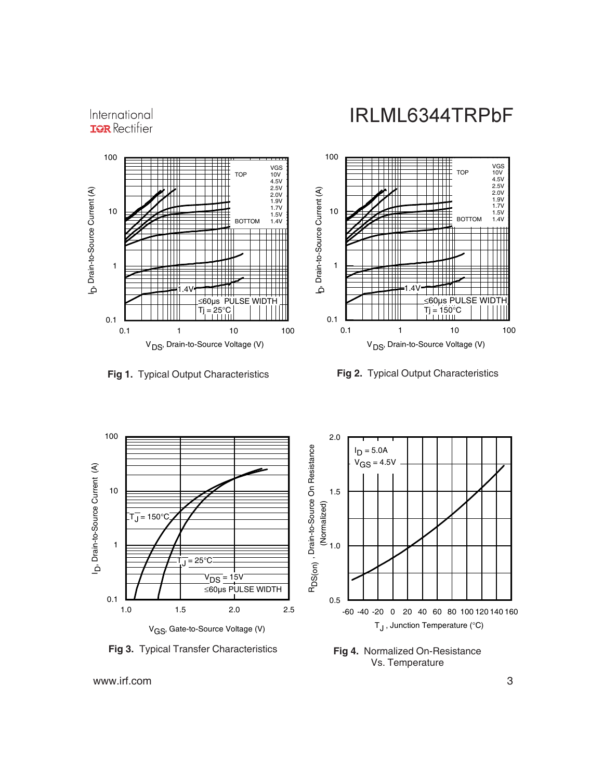

International **IQR** Rectifier







**Fig 4.** Normalized On-Resistance Vs. Temperature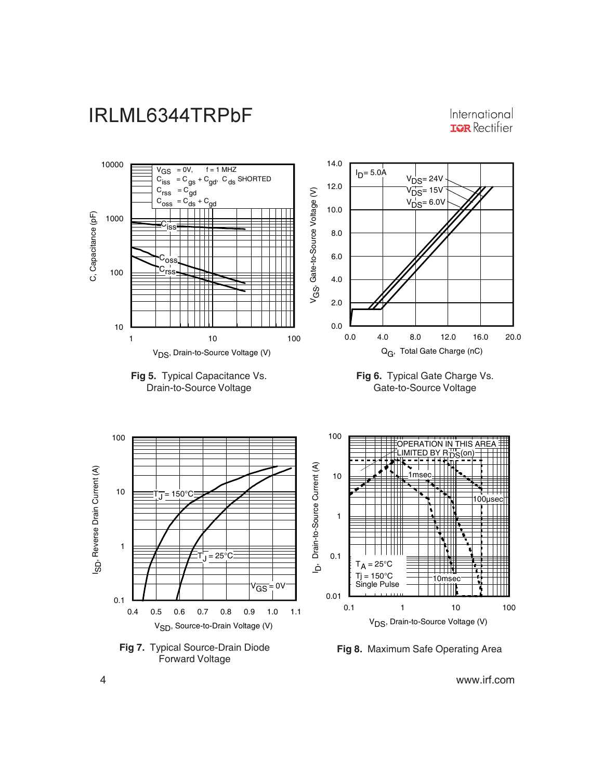

International **IOR** Rectifier



4 www.irf.com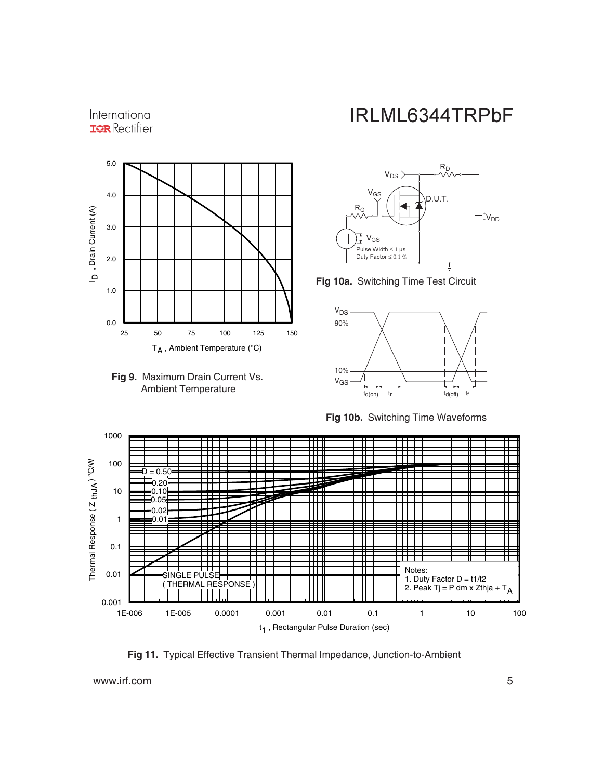#### International **IOR** Rectifier





### IRLML6344TRPbF



**Fig 10a.** Switching Time Test Circuit



**Fig 10b.** Switching Time Waveforms



**Fig 11.** Typical Effective Transient Thermal Impedance, Junction-to-Ambient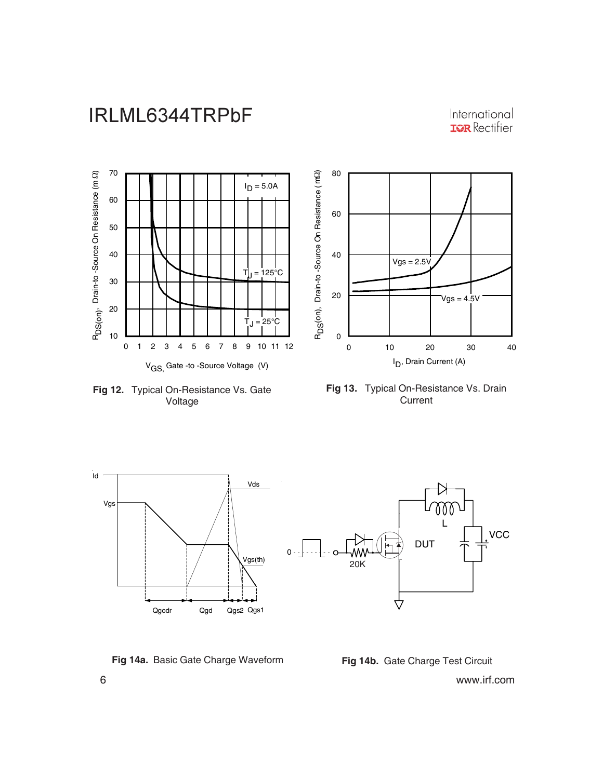International **IQR** Rectifier



**Fig 12.** Typical On-Resistance Vs. Gate Voltage





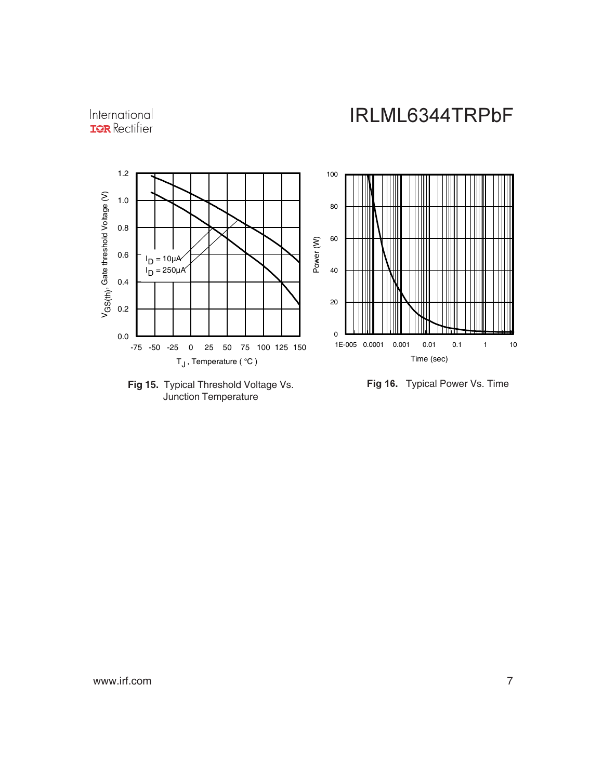International **IGR** Rectifier





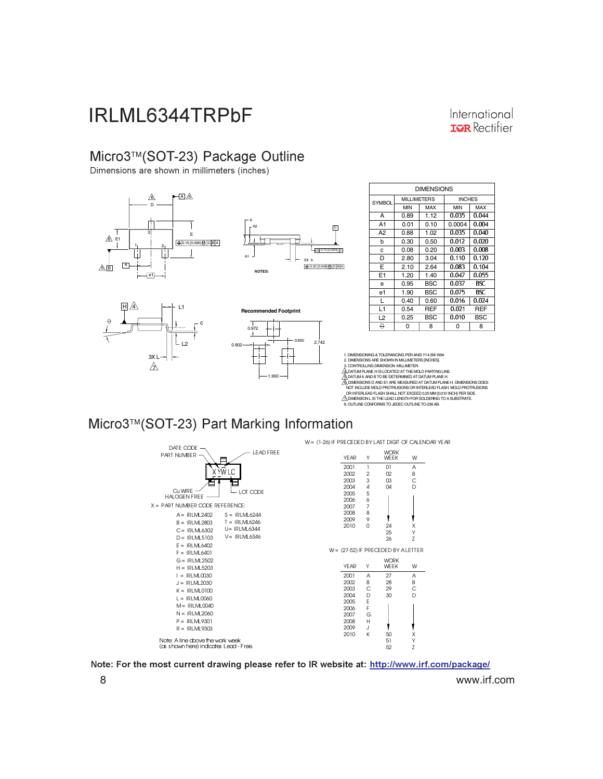#### International **IGR** Rectifier

#### Micro3™(SOT-23) Package Outline

Dimensions are shown in millimeters (inches)







14] C

**C** 

| <b>DIMENSIONS</b> |                    |            |               |            |
|-------------------|--------------------|------------|---------------|------------|
| <b>SYMBOL</b>     | <b>MILLIMETERS</b> |            | <b>INCHES</b> |            |
|                   | <b>MIN</b>         | MAX        | <b>MIN</b>    | MAX        |
| А                 | 0.89               | 1.12       | 0.035         | 0.044      |
| A <sub>1</sub>    | 0.01               | 0.10       | 0.0004        | 0.004      |
| A2                | 0.88               | 1.02       | 0.035         | 0.040      |
| b                 | 0.30               | 0.50       | 0.012         | 0.020      |
| c                 | 0.08               | 0.20       | 0.003         | 0.008      |
| D                 | 2.80               | 3.04       | 0.110         | 0.120      |
| Е                 | 2.10               | 2.64       | 0.083         | 0.104      |
| E1                | 1.20               | 1.40       | 0.047         | 0.055      |
| e                 | 0.95               | <b>BSC</b> | 0.037         | BSC.       |
| e1                | 1.90               | <b>BSC</b> | 0.075         | BSC.       |
| L                 | 0.40               | 0.60       | 0.016         | 0.024      |
| L1                | 0.54               | REF        | 0.021         | <b>REF</b> |
| L <sub>2</sub>    | 0.25               | BSC        | 0.010         | BSC        |
| 0                 | 0                  | 8          | 0             | 8          |

1. DIMENSIONING & TOLERANCING PER ANSI Y14.5M-1994<br>2. DIMENSIONS ARE SHOWN IN MILIMETERS [INCHES].<br>3. CONTROLLING DIMENSION: MILLIMETER.<br>3. DONTROLLING DIMENSION: MILLIMETER.<br>3. DIMENSIONS D'AND E1 ARE MEASURED AT DATUM PL NOT INCLUDE MOLD PROTRUSIONS OR INTERLEAD FLASH. MOLD PROTRUSIONS<br>, OR INTERLEAD FLASH SHALL NOT EXCEED Q25 MM [0.0.10 INCH] PER SIDE.<br>20 DIMENSION L IS THE LEAD LENGTH FOR SOLDERING TO A SUBSTRATE.<br>8. OUTLINE CONFORMS TO

#### Micro3™(SOT-23) Part Marking Information



Note: For the most current drawing please refer to IR website at: <u>http://www.irf.com/package/</u>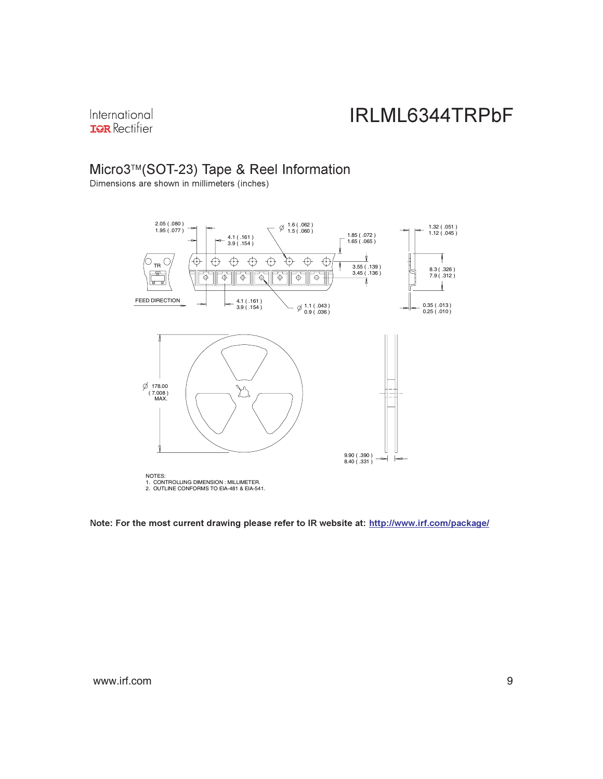International **IQR** Rectifier

#### Micro3™(SOT-23) Tape & Reel Information

Dimensions are shown in millimeters (inches)



Note: For the most current drawing please refer to IR website at: <u>http://www.irf.com/package/</u>